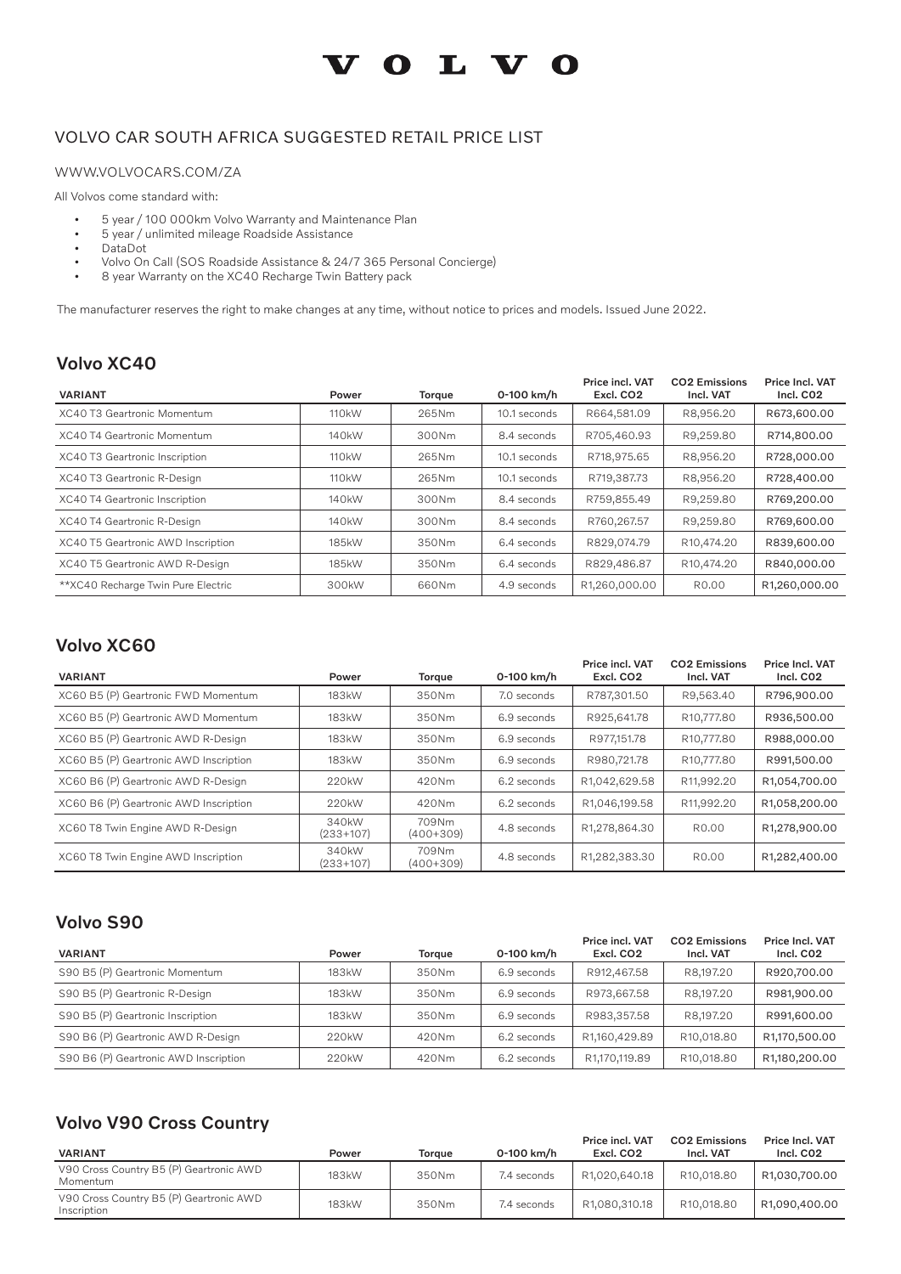# **VOLVO**

#### VOLVO CAR SOUTH AFRICA SUGGESTED RETAIL PRICE LIST

#### WWW.VOLVOCARS.COM/ZA

All Volvos come standard with:

- 5 year / 100 000km Volvo Warranty and Maintenance Plan
- 5 year / unlimited mileage Roadside Assistance
- DataDot
- Volvo On Call (SOS Roadside Assistance & 24/7 365 Personal Concierge)<br>• 8 year Warranty on the XC40 Recharge Twin Battery pack
- 8 year Warranty on the XC40 Recharge Twin Battery pack

The manufacturer reserves the right to make changes at any time, without notice to prices and models. Issued June 2022.

# Volvo XC40

| <b>VARIANT</b>                      | Power              | <b>Torque</b> | 0-100 km/h   | Price incl. VAT<br>Excl. CO <sub>2</sub> | <b>CO2 Emissions</b><br>Incl. VAT | Price Incl. VAT<br>Incl. CO <sub>2</sub> |
|-------------------------------------|--------------------|---------------|--------------|------------------------------------------|-----------------------------------|------------------------------------------|
| XC40 T3 Geartronic Momentum         | 110 <sub>k</sub> W | 265Nm         | 10.1 seconds | R664,581.09                              | R8,956.20                         | R673,600.00                              |
| XC40 T4 Geartronic Momentum         | 140 <sub>k</sub> W | 300Nm         | 8.4 seconds  | R705,460.93                              | R9,259.80                         | R714,800.00                              |
| XC40 T3 Geartronic Inscription      | 110 <sub>k</sub> W | 265Nm         | 10.1 seconds | R718,975.65                              | R8,956.20                         | R728,000.00                              |
| XC40 T3 Geartronic R-Design         | 110 <sub>k</sub> W | 265Nm         | 10.1 seconds | R719,387.73                              | R8,956.20                         | R728,400.00                              |
| XC40 T4 Geartronic Inscription      | 140 <sub>k</sub> W | 300Nm         | 8.4 seconds  | R759,855.49                              | R9,259.80                         | R769,200.00                              |
| XC40 T4 Geartronic R-Design         | 140 <sub>k</sub> W | 300Nm         | 8.4 seconds  | R760,267.57                              | R9,259.80                         | R769,600.00                              |
| XC40 T5 Geartronic AWD Inscription  | 185kW              | 350Nm         | 6.4 seconds  | R829.074.79                              | R10,474.20                        | R839,600.00                              |
| XC40 T5 Geartronic AWD R-Design     | 185kW              | 350Nm         | 6.4 seconds  | R829,486.87                              | R10,474.20                        | R840,000.00                              |
| ** XC40 Recharge Twin Pure Electric | 300kW              | 660Nm         | 4.9 seconds  | R1,260,000.00                            | R <sub>0</sub> .00                | R1,260,000.00                            |

### Volvo XC60

| <b>VARIANT</b>                         | Power                             | Torque               | 0-100 km/h  | Price incl. VAT<br>Excl. CO <sub>2</sub> | <b>CO2 Emissions</b><br>Incl. VAT | Price Incl. VAT<br>Incl. CO <sub>2</sub> |
|----------------------------------------|-----------------------------------|----------------------|-------------|------------------------------------------|-----------------------------------|------------------------------------------|
| XC60 B5 (P) Geartronic FWD Momentum    | 183kW                             | 350Nm                | 7.0 seconds | R787,301.50                              | R9,563.40                         | R796,900.00                              |
| XC60 B5 (P) Geartronic AWD Momentum    | 183kW                             | 350Nm                | 6.9 seconds | R925,641.78                              | R <sub>10</sub> ,777.80           | R936,500.00                              |
| XC60 B5 (P) Geartronic AWD R-Design    | 183kW                             | 350Nm                | 6.9 seconds | R977.151.78                              | R10.777.80                        | R988,000.00                              |
| XC60 B5 (P) Geartronic AWD Inscription | 183kW                             | 350Nm                | 6.9 seconds | R980,721.78                              | R10,777.80                        | R991,500.00                              |
| XC60 B6 (P) Geartronic AWD R-Design    | 220 <sub>k</sub> W                | 420Nm                | 6.2 seconds | R1,042,629.58                            | R11,992.20                        | R1,054,700.00                            |
| XC60 B6 (P) Geartronic AWD Inscription | 220 <sub>k</sub> W                | 420Nm                | 6.2 seconds | R1,046,199.58                            | R11,992.20                        | R1,058,200.00                            |
| XC60 T8 Twin Engine AWD R-Design       | 340 <sub>k</sub> W<br>$(233+107)$ | 709Nm<br>$(400+309)$ | 4.8 seconds | R1,278,864.30                            | R <sub>0</sub> .00                | R1,278,900.00                            |
| XC60 T8 Twin Engine AWD Inscription    | 340 <sub>k</sub> W<br>$(233+107)$ | 709Nm<br>$(400+309)$ | 4.8 seconds | R1,282,383.30                            | R <sub>0</sub> .00                | R1,282,400.00                            |

#### Volvo S90

| <b>VARIANT</b>                        | Power | Toraue | 0-100 km/h  | Price incl. VAT<br>Excl. CO <sub>2</sub> | <b>CO2 Emissions</b><br>Incl. VAT | Price Incl. VAT<br>Incl. CO <sub>2</sub> |
|---------------------------------------|-------|--------|-------------|------------------------------------------|-----------------------------------|------------------------------------------|
| S90 B5 (P) Geartronic Momentum        | 183kW | 350Nm  | 6.9 seconds | R912,467.58                              | R8.197.20                         | R920,700.00                              |
| S90 B5 (P) Geartronic R-Design        | 183kW | 350Nm  | 6.9 seconds | R973,667.58                              | R8.197.20                         | R981,900.00                              |
| S90 B5 (P) Geartronic Inscription     | 183kW | 350Nm  | 6.9 seconds | R983,357,58                              | R8.197.20                         | R991,600.00                              |
| S90 B6 (P) Geartronic AWD R-Design    | 220kW | 420Nm  | 6.2 seconds | R1,160,429.89                            | R10,018.80                        | R1,170,500.00                            |
| S90 B6 (P) Geartronic AWD Inscription | 220kW | 420Nm  | 6.2 seconds | R1.170.119.89                            | R10.018.80                        | R1,180,200.00                            |

### Volvo V90 Cross Country

| <b>VARIANT</b>                                         | Power | Toraue | 0-100 km/h  | Price incl. VAT<br>Excl. CO <sub>2</sub> | <b>CO2 Emissions</b><br>Incl. VAT | <b>Price Incl. VAT</b><br>Incl. CO <sub>2</sub> |
|--------------------------------------------------------|-------|--------|-------------|------------------------------------------|-----------------------------------|-------------------------------------------------|
| V90 Cross Country B5 (P) Geartronic AWD<br>Momentum    | 183kW | 350Nm  | 7.4 seconds | R1.020.640.18                            | R10.018.80                        | R1.030.700.00                                   |
| V90 Cross Country B5 (P) Geartronic AWD<br>Inscription | 183kW | 350Nm  | 7.4 seconds | R1.080.310.18                            | R10.018.80                        | R1.090.400.00                                   |